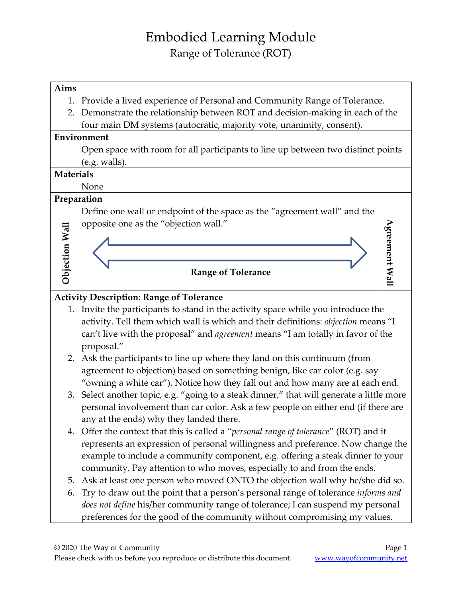## Embodied Learning Module Range of Tolerance (ROT)